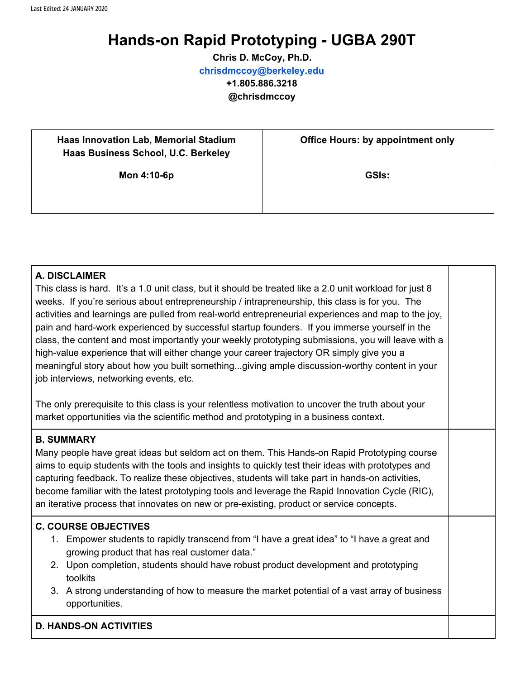# **Hands-on Rapid Prototyping - UGBA 290T**

**Chris D. McCoy, Ph.D. [chrisdmccoy@berkeley.edu](mailto:chrisdmccoy@berkeley.edu) +1.805.886.3218 @chrisdmccoy**

| <b>Haas Innovation Lab, Memorial Stadium</b><br>Haas Business School, U.C. Berkeley | <b>Office Hours: by appointment only</b> |  |  |
|-------------------------------------------------------------------------------------|------------------------------------------|--|--|
| Mon 4:10-6p                                                                         | <b>GSIs:</b>                             |  |  |

#### **A. DISCLAIMER**

This class is hard. It's a 1.0 unit class, but it should be treated like a 2.0 unit workload for just 8 weeks. If you're serious about entrepreneurship / intrapreneurship, this class is for you. The activities and learnings are pulled from real-world entrepreneurial experiences and map to the joy, pain and hard-work experienced by successful startup founders. If you immerse yourself in the class, the content and most importantly your weekly prototyping submissions, you will leave with a high-value experience that will either change your career trajectory OR simply give you a meaningful story about how you built something...giving ample discussion-worthy content in your job interviews, networking events, etc.

The only prerequisite to this class is your relentless motivation to uncover the truth about your market opportunities via the scientific method and prototyping in a business context.

#### **B. SUMMARY**

Many people have great ideas but seldom act on them. This Hands-on Rapid Prototyping course aims to equip students with the tools and insights to quickly test their ideas with prototypes and capturing feedback. To realize these objectives, students will take part in hands-on activities, become familiar with the latest prototyping tools and leverage the Rapid Innovation Cycle (RIC), an iterative process that innovates on new or pre-existing, product or service concepts.

#### **C. COURSE OBJECTIVES**

- 1. Empower students to rapidly transcend from "I have a great idea" to "I have a great and growing product that has real customer data."
- 2. Upon completion, students should have robust product development and prototyping toolkits
- 3. A strong understanding of how to measure the market potential of a vast array of business opportunities.

#### **D. HANDS-ON ACTIVITIES**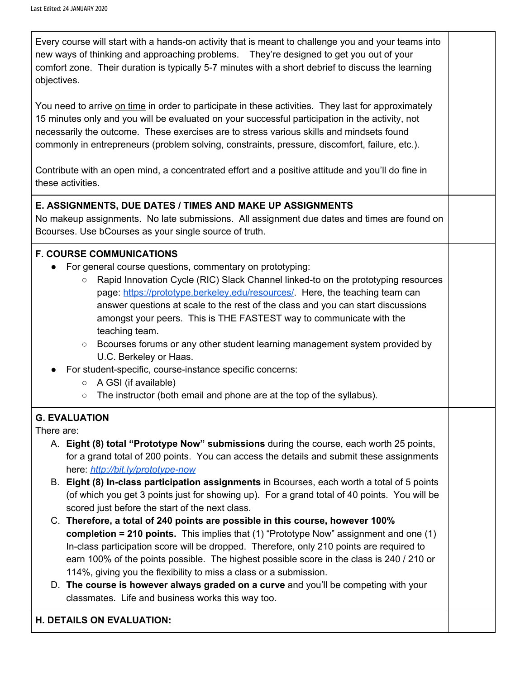Every course will start with a hands-on activity that is meant to challenge you and your teams into new ways of thinking and approaching problems. They're designed to get you out of your comfort zone. Their duration is typically 5-7 minutes with a short debrief to discuss the learning objectives.

You need to arrive on time in order to participate in these activities. They last for approximately 15 minutes only and you will be evaluated on your successful participation in the activity, not necessarily the outcome. These exercises are to stress various skills and mindsets found commonly in entrepreneurs (problem solving, constraints, pressure, discomfort, failure, etc.).

Contribute with an open mind, a concentrated effort and a positive attitude and you'll do fine in these activities.

## **E. ASSIGNMENTS, DUE DATES / TIMES AND MAKE UP ASSIGNMENTS**

No makeup assignments. No late submissions. All assignment due dates and times are found on Bcourses. Use bCourses as your single source of truth.

## **F. COURSE COMMUNICATIONS**

- For general course questions, commentary on prototyping:
	- Rapid Innovation Cycle (RIC) Slack Channel linked-to on the prototyping resources page: <https://prototype.berkeley.edu/resources/>. Here, the teaching team can answer questions at scale to the rest of the class and you can start discussions amongst your peers. This is THE FASTEST way to communicate with the teaching team.
	- Bcourses forums or any other student learning management system provided by U.C. Berkeley or Haas.
- For student-specific, course-instance specific concerns:
	- A GSI (if available)
	- The instructor (both email and phone are at the top of the syllabus).

#### **G. EVALUATION**

There are:

- A. **Eight (8) total "Prototype Now" submissions** during the course, each worth 25 points, for a grand total of 200 points. You can access the details and submit these assignments here: *<http://bit.ly/prototype-now>*
- B. **Eight (8) In-class participation assignments** in Bcourses, each worth a total of 5 points (of which you get 3 points just for showing up). For a grand total of 40 points. You will be scored just before the start of the next class.
- C. **Therefore, a total of 240 points are possible in this course, however 100% completion = 210 points.** This implies that (1) "Prototype Now" assignment and one (1) In-class participation score will be dropped. Therefore, only 210 points are required to earn 100% of the points possible. The highest possible score in the class is 240 / 210 or 114%, giving you the flexibility to miss a class or a submission.
- D. **The course is however always graded on a curve** and you'll be competing with your classmates. Life and business works this way too.

#### **H. DETAILS ON EVALUATION:**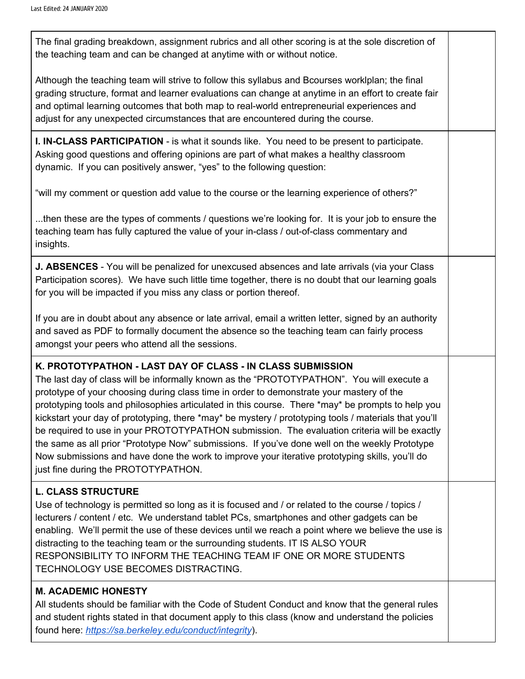The final grading breakdown, assignment rubrics and all other scoring is at the sole discretion of the teaching team and can be changed at anytime with or without notice.

Although the teaching team will strive to follow this syllabus and Bcourses worklplan; the final grading structure, format and learner evaluations can change at anytime in an effort to create fair and optimal learning outcomes that both map to real-world entrepreneurial experiences and adjust for any unexpected circumstances that are encountered during the course.

**I. IN-CLASS PARTICIPATION** - is what it sounds like. You need to be present to participate. Asking good questions and offering opinions are part of what makes a healthy classroom dynamic. If you can positively answer, "yes" to the following question:

"will my comment or question add value to the course or the learning experience of others?"

...then these are the types of comments / questions we're looking for. It is your job to ensure the teaching team has fully captured the value of your in-class / out-of-class commentary and insights.

**J. ABSENCES** - You will be penalized for unexcused absences and late arrivals (via your Class Participation scores). We have such little time together, there is no doubt that our learning goals for you will be impacted if you miss any class or portion thereof.

If you are in doubt about any absence or late arrival, email a written letter, signed by an authority and saved as PDF to formally document the absence so the teaching team can fairly process amongst your peers who attend all the sessions.

## **K. PROTOTYPATHON - LAST DAY OF CLASS - IN CLASS SUBMISSION**

The last day of class will be informally known as the "PROTOTYPATHON". You will execute a prototype of your choosing during class time in order to demonstrate your mastery of the prototyping tools and philosophies articulated in this course. There \*may\* be prompts to help you kickstart your day of prototyping, there \*may\* be mystery / prototyping tools / materials that you'll be required to use in your PROTOTYPATHON submission. The evaluation criteria will be exactly the same as all prior "Prototype Now" submissions. If you've done well on the weekly Prototype Now submissions and have done the work to improve your iterative prototyping skills, you'll do just fine during the PROTOTYPATHON.

## **L. CLASS STRUCTURE**

Use of technology is permitted so long as it is focused and / or related to the course / topics / lecturers / content / etc. We understand tablet PCs, smartphones and other gadgets can be enabling. We'll permit the use of these devices until we reach a point where we believe the use is distracting to the teaching team or the surrounding students. IT IS ALSO YOUR RESPONSIBILITY TO INFORM THE TEACHING TEAM IF ONE OR MORE STUDENTS TECHNOLOGY USE BECOMES DISTRACTING.

## **M. ACADEMIC HONESTY**

All students should be familiar with the Code of Student Conduct and know that the general rules and student rights stated in that document apply to this class (know and understand the policies found here: *<https://sa.berkeley.edu/conduct/integrity>*).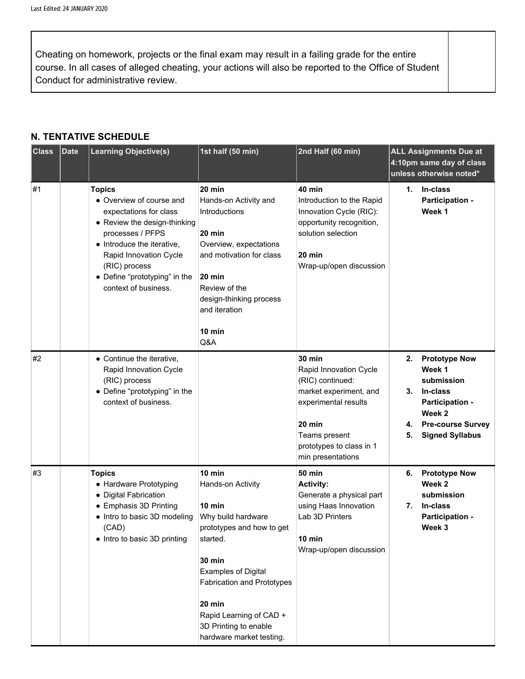Cheating on homework, projects or the final exam may result in a failing grade for the entire course. In all cases of alleged cheating, your actions will also be reported to the Office of Student Conduct for administrative review.

#### **N. TENTATIVE SCHEDULE**

| <b>Class</b> | <b>Date</b> | <b>Learning Objective(s)</b>                                                                                                                                                                                                                              | 1st half (50 min)                                                                                                                                                                                                                                                                  | 2nd Half (60 min)                                                                                                                                                                         | <b>ALL Assignments Due at</b><br>4:10pm same day of class<br>unless otherwise noted*                                                                                |  |
|--------------|-------------|-----------------------------------------------------------------------------------------------------------------------------------------------------------------------------------------------------------------------------------------------------------|------------------------------------------------------------------------------------------------------------------------------------------------------------------------------------------------------------------------------------------------------------------------------------|-------------------------------------------------------------------------------------------------------------------------------------------------------------------------------------------|---------------------------------------------------------------------------------------------------------------------------------------------------------------------|--|
| #1           |             | <b>Topics</b><br>• Overview of course and<br>expectations for class<br>• Review the design-thinking<br>processes / PFPS<br>• Introduce the iterative,<br>Rapid Innovation Cycle<br>(RIC) process<br>• Define "prototyping" in the<br>context of business. | $20$ min<br>Hands-on Activity and<br>Introductions<br>$20$ min<br>Overview, expectations<br>and motivation for class<br>20 min<br>Review of the<br>design-thinking process<br>and iteration<br>10 min<br>Q&A                                                                       | 40 min<br>Introduction to the Rapid<br>Innovation Cycle (RIC):<br>opportunity recognition,<br>solution selection<br>20 min<br>Wrap-up/open discussion                                     | In-class<br>1.<br>Participation -<br>Week 1                                                                                                                         |  |
| #2           |             | • Continue the iterative,<br>Rapid Innovation Cycle<br>(RIC) process<br>• Define "prototyping" in the<br>context of business.                                                                                                                             |                                                                                                                                                                                                                                                                                    | <b>30 min</b><br>Rapid Innovation Cycle<br>(RIC) continued:<br>market experiment, and<br>experimental results<br>20 min<br>Teams present<br>prototypes to class in 1<br>min presentations | <b>Prototype Now</b><br>2.<br>Week 1<br>submission<br>In-class<br>3.<br>Participation -<br>Week 2<br><b>Pre-course Survey</b><br>4.<br><b>Signed Syllabus</b><br>5. |  |
| #3           |             | <b>Topics</b><br>• Hardware Prototyping<br>• Digital Fabrication<br>• Emphasis 3D Printing<br>• Intro to basic 3D modeling<br>(CAD)<br>• Intro to basic 3D printing                                                                                       | 10 min<br>Hands-on Activity<br>10 min<br>Why build hardware<br>prototypes and how to get<br>started.<br><b>30 min</b><br><b>Examples of Digital</b><br><b>Fabrication and Prototypes</b><br>20 min<br>Rapid Learning of CAD +<br>3D Printing to enable<br>hardware market testing. | <b>50 min</b><br><b>Activity:</b><br>Generate a physical part<br>using Haas Innovation<br>Lab 3D Printers<br>10 min<br>Wrap-up/open discussion                                            | <b>Prototype Now</b><br>6.<br>Week 2<br>submission<br>In-class<br>7.<br>Participation -<br>Week 3                                                                   |  |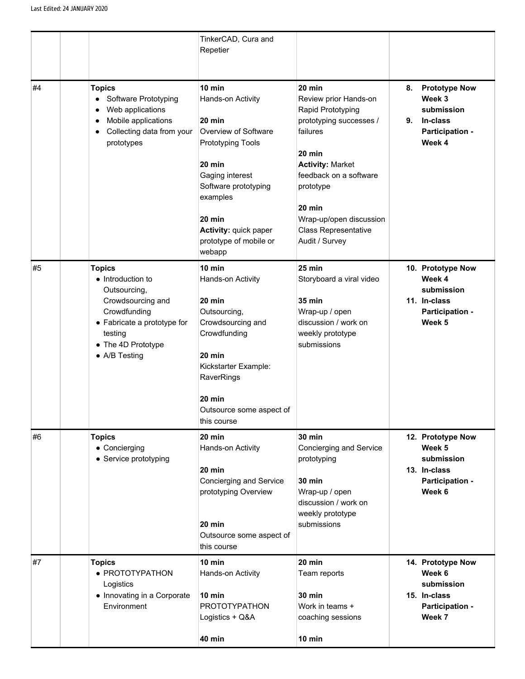|    |                                                                                                                                                                                                                                                                                                                                                                               | TinkerCAD, Cura and<br>Repetier                                                                                                                                                                                                     |                                                                                                                                                                                                                                                                         |                                                                                                   |
|----|-------------------------------------------------------------------------------------------------------------------------------------------------------------------------------------------------------------------------------------------------------------------------------------------------------------------------------------------------------------------------------|-------------------------------------------------------------------------------------------------------------------------------------------------------------------------------------------------------------------------------------|-------------------------------------------------------------------------------------------------------------------------------------------------------------------------------------------------------------------------------------------------------------------------|---------------------------------------------------------------------------------------------------|
| #4 | <b>Topics</b><br>Software Prototyping<br>Web applications<br>Mobile applications<br>$\bullet$<br>Collecting data from your<br>٠<br>prototypes                                                                                                                                                                                                                                 | $10$ min<br>Hands-on Activity<br>20 min<br>Overview of Software<br><b>Prototyping Tools</b><br>20 min<br>Gaging interest<br>Software prototyping<br>examples<br>20 min<br>Activity: quick paper<br>prototype of mobile or<br>webapp | 20 min<br>Review prior Hands-on<br>Rapid Prototyping<br>prototyping successes /<br>failures<br>20 min<br><b>Activity: Market</b><br>feedback on a software<br>prototype<br>$20 \text{ min}$<br>Wrap-up/open discussion<br><b>Class Representative</b><br>Audit / Survey | <b>Prototype Now</b><br>8.<br>Week 3<br>submission<br>In-class<br>9.<br>Participation -<br>Week 4 |
| #5 | 10 min<br><b>Topics</b><br>• Introduction to<br>Hands-on Activity<br>Outsourcing,<br>Crowdsourcing and<br>$20$ min<br>Crowdfunding<br>Outsourcing,<br>• Fabricate a prototype for<br>Crowdsourcing and<br>Crowdfunding<br>testing<br>• The 4D Prototype<br>• A/B Testing<br>20 min<br>Kickstarter Example:<br>RaverRings<br>20 min<br>Outsource some aspect of<br>this course |                                                                                                                                                                                                                                     | 25 min<br>Storyboard a viral video<br><b>35 min</b><br>Wrap-up / open<br>discussion / work on<br>weekly prototype<br>submissions                                                                                                                                        | 10. Prototype Now<br>Week 4<br>submission<br>11. In-class<br>Participation -<br>Week 5            |
| #6 | <b>Topics</b><br>$20$ min<br>• Concierging<br>Hands-on Activity<br>• Service prototyping<br>20 min<br>Concierging and Service<br>prototyping Overview<br>$20$ min<br>Outsource some aspect of<br>this course                                                                                                                                                                  |                                                                                                                                                                                                                                     | <b>30 min</b><br>Concierging and Service<br>prototyping<br><b>30 min</b><br>Wrap-up / open<br>discussion / work on<br>weekly prototype<br>submissions                                                                                                                   | 12. Prototype Now<br>Week 5<br>submission<br>13. In-class<br>Participation -<br>Week 6            |
| #7 | $10$ min<br><b>Topics</b><br>• PROTOTYPATHON<br>Hands-on Activity<br>Logistics<br>• Innovating in a Corporate<br>$10$ min<br>Environment<br><b>PROTOTYPATHON</b><br>Logistics + Q&A<br><b>40 min</b>                                                                                                                                                                          |                                                                                                                                                                                                                                     | 20 min<br>Team reports<br><b>30 min</b><br>Work in teams +<br>coaching sessions<br>10 min                                                                                                                                                                               | 14. Prototype Now<br>Week 6<br>submission<br>15. In-class<br>Participation -<br>Week 7            |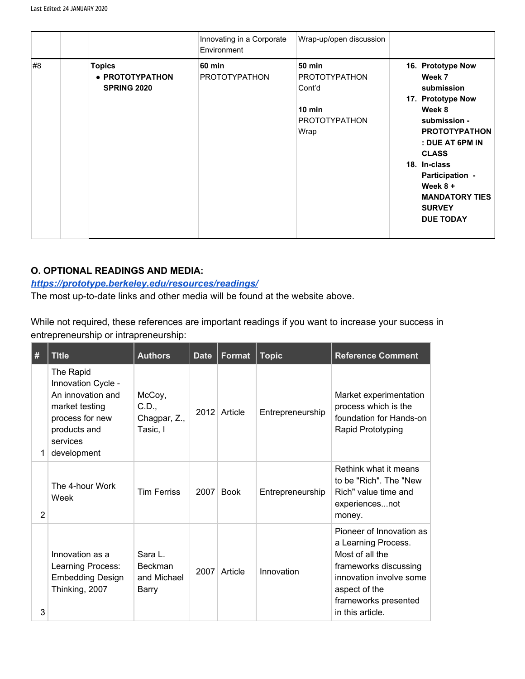|    |                                                        | Innovating in a Corporate<br>Environment | Wrap-up/open discussion                                                                             |                                                                                                                                                                                                                                                                    |
|----|--------------------------------------------------------|------------------------------------------|-----------------------------------------------------------------------------------------------------|--------------------------------------------------------------------------------------------------------------------------------------------------------------------------------------------------------------------------------------------------------------------|
| #8 | <b>Topics</b><br>• PROTOTYPATHON<br><b>SPRING 2020</b> | <b>60 min</b><br><b>PROTOTYPATHON</b>    | <b>50 min</b><br><b>PROTOTYPATHON</b><br>Cont'd<br>$10 \text{ min}$<br><b>PROTOTYPATHON</b><br>Wrap | 16. Prototype Now<br>Week 7<br>submission<br>17. Prototype Now<br>Week 8<br>submission -<br><b>PROTOTYPATHON</b><br>: DUE AT 6PM IN<br><b>CLASS</b><br>18. In-class<br>Participation -<br>Week $8 +$<br><b>MANDATORY TIES</b><br><b>SURVEY</b><br><b>DUE TODAY</b> |

## **O. OPTIONAL READINGS AND MEDIA:**

### *<https://prototype.berkeley.edu/resources/readings/>*

The most up-to-date links and other media will be found at the website above.

While not required, these references are important readings if you want to increase your success in entrepreneurship or intrapreneurship:

| #              | <b>Title</b>                                                                                                                         | <b>Authors</b>                                    | <b>Date</b> | Format      | <b>Topic</b>     | <b>Reference Comment</b>                                                                                                                                                            |
|----------------|--------------------------------------------------------------------------------------------------------------------------------------|---------------------------------------------------|-------------|-------------|------------------|-------------------------------------------------------------------------------------------------------------------------------------------------------------------------------------|
| 1.             | The Rapid<br>Innovation Cycle -<br>An innovation and<br>market testing<br>process for new<br>products and<br>services<br>development | McCoy,<br>C.D.,<br>Chagpar, Z.,<br>Tasic, I       | 2012        | Article     | Entrepreneurship | Market experimentation<br>process which is the<br>foundation for Hands-on<br>Rapid Prototyping                                                                                      |
| $\overline{2}$ | The 4-hour Work<br>Week                                                                                                              | <b>Tim Ferriss</b>                                | 2007        | <b>Book</b> | Entrepreneurship | Rethink what it means<br>to be "Rich". The "New<br>Rich" value time and<br>experiencesnot<br>money.                                                                                 |
| 3              | Innovation as a<br>Learning Process:<br><b>Embedding Design</b><br>Thinking, 2007                                                    | Sara L.<br><b>Beckman</b><br>and Michael<br>Barry | 2007        | Article     | Innovation       | Pioneer of Innovation as<br>a Learning Process.<br>Most of all the<br>frameworks discussing<br>innovation involve some<br>aspect of the<br>frameworks presented<br>in this article. |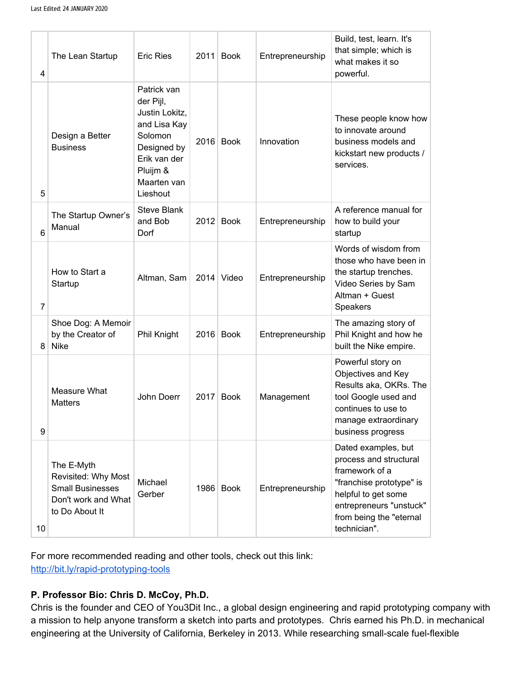| 4  | The Lean Startup                                                                                      | <b>Eric Ries</b>                                                                                                                            | 2011 | <b>Book</b> | Entrepreneurship | Build, test, learn. It's<br>that simple; which is<br>what makes it so<br>powerful.                                                                                                       |
|----|-------------------------------------------------------------------------------------------------------|---------------------------------------------------------------------------------------------------------------------------------------------|------|-------------|------------------|------------------------------------------------------------------------------------------------------------------------------------------------------------------------------------------|
| 5  | Design a Better<br><b>Business</b>                                                                    | Patrick van<br>der Pijl,<br>Justin Lokitz,<br>and Lisa Kay<br>Solomon<br>Designed by<br>Erik van der<br>Pluijm &<br>Maarten van<br>Lieshout | 2016 | <b>Book</b> | Innovation       | These people know how<br>to innovate around<br>business models and<br>kickstart new products /<br>services.                                                                              |
| 6  | The Startup Owner's<br>Manual                                                                         | <b>Steve Blank</b><br>and Bob<br>Dorf                                                                                                       | 2012 | <b>Book</b> | Entrepreneurship | A reference manual for<br>how to build your<br>startup                                                                                                                                   |
| 7  | How to Start a<br>Startup                                                                             | Altman, Sam                                                                                                                                 | 2014 | Video       | Entrepreneurship | Words of wisdom from<br>those who have been in<br>the startup trenches.<br>Video Series by Sam<br>Altman + Guest<br>Speakers                                                             |
| 8  | Shoe Dog: A Memoir<br>by the Creator of<br><b>Nike</b>                                                | Phil Knight                                                                                                                                 |      | 2016 Book   | Entrepreneurship | The amazing story of<br>Phil Knight and how he<br>built the Nike empire.                                                                                                                 |
| 9  | Measure What<br><b>Matters</b>                                                                        | John Doerr                                                                                                                                  | 2017 | <b>Book</b> | Management       | Powerful story on<br>Objectives and Key<br>Results aka, OKRs. The<br>tool Google used and<br>continues to use to<br>manage extraordinary<br>business progress                            |
| 10 | The E-Myth<br>Revisited: Why Most<br><b>Small Businesses</b><br>Don't work and What<br>to Do About It | Michael<br>Gerber                                                                                                                           |      | 1986 Book   | Entrepreneurship | Dated examples, but<br>process and structural<br>framework of a<br>"franchise prototype" is<br>helpful to get some<br>entrepreneurs "unstuck"<br>from being the "eternal<br>technician". |

For more recommended reading and other tools, check out this link: <http://bit.ly/rapid-prototyping-tools>

# **P. Professor Bio: Chris D. McCoy, Ph.D.**

Chris is the founder and CEO of You3Dit Inc., a global design engineering and rapid prototyping company with a mission to help anyone transform a sketch into parts and prototypes. Chris earned his Ph.D. in mechanical engineering at the University of California, Berkeley in 2013. While researching small-scale fuel-flexible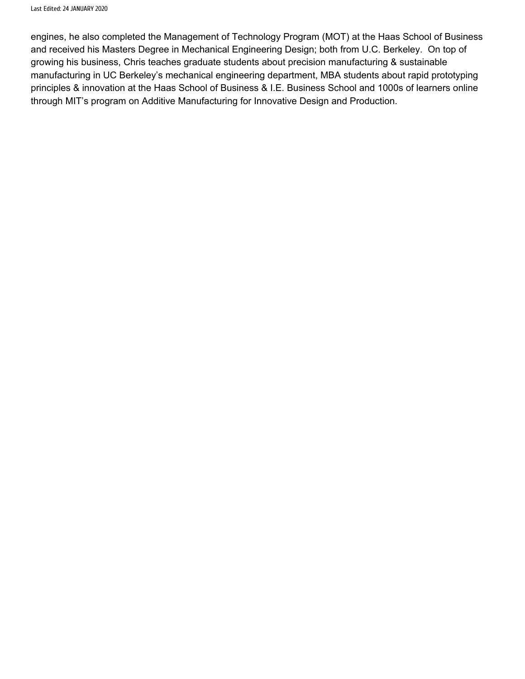engines, he also completed the Management of Technology Program (MOT) at the Haas School of Business and received his Masters Degree in Mechanical Engineering Design; both from U.C. Berkeley. On top of growing his business, Chris teaches graduate students about precision manufacturing & sustainable manufacturing in UC Berkeley's mechanical engineering department, MBA students about rapid prototyping principles & innovation at the Haas School of Business & I.E. Business School and 1000s of learners online through MIT's program on Additive Manufacturing for Innovative Design and Production.